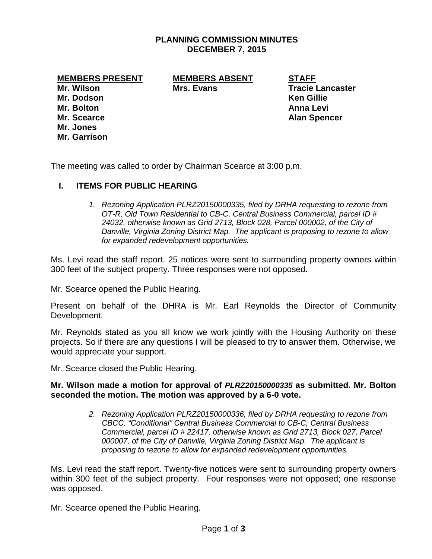#### **PLANNING COMMISSION MINUTES DECEMBER 7, 2015**

**MEMBERS PRESENT MEMBERS ABSENT STAFF**

**Mr. Dodson Ken Gillie Mr. Bolton Anna Levi Mr. Scearce Alan Spencer Mr. Jones Mr. Garrison**

**Mr. Wilson Mrs. Evans Tracie Lancaster**

The meeting was called to order by Chairman Scearce at 3:00 p.m.

# **I. ITEMS FOR PUBLIC HEARING**

*1. Rezoning Application PLRZ20150000335, filed by DRHA requesting to rezone from OT-R, Old Town Residential to CB-C, Central Business Commercial, parcel ID # 24032, otherwise known as Grid 2713, Block 028, Parcel 000002, of the City of Danville, Virginia Zoning District Map. The applicant is proposing to rezone to allow for expanded redevelopment opportunities.*

Ms. Levi read the staff report. 25 notices were sent to surrounding property owners within 300 feet of the subject property. Three responses were not opposed.

Mr. Scearce opened the Public Hearing.

Present on behalf of the DHRA is Mr. Earl Reynolds the Director of Community Development.

Mr. Reynolds stated as you all know we work jointly with the Housing Authority on these projects. So if there are any questions I will be pleased to try to answer them. Otherwise, we would appreciate your support.

Mr. Scearce closed the Public Hearing.

#### **Mr. Wilson made a motion for approval of** *PLRZ20150000335* **as submitted. Mr. Bolton seconded the motion. The motion was approved by a 6-0 vote.**

*2. Rezoning Application PLRZ20150000336, filed by DRHA requesting to rezone from CBCC, "Conditional" Central Business Commercial to CB-C, Central Business Commercial, parcel ID # 22417, otherwise known as Grid 2713, Block 027, Parcel 000007, of the City of Danville, Virginia Zoning District Map. The applicant is proposing to rezone to allow for expanded redevelopment opportunities.*

Ms. Levi read the staff report. Twenty-five notices were sent to surrounding property owners within 300 feet of the subject property. Four responses were not opposed; one response was opposed.

Mr. Scearce opened the Public Hearing.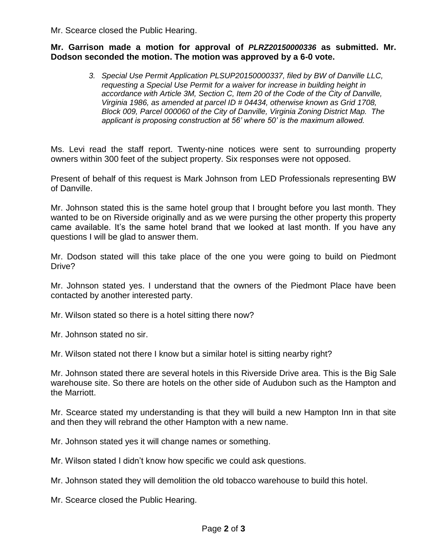Mr. Scearce closed the Public Hearing.

#### **Mr. Garrison made a motion for approval of** *PLRZ20150000336* **as submitted. Mr. Dodson seconded the motion. The motion was approved by a 6-0 vote.**

*3. Special Use Permit Application PLSUP20150000337, filed by BW of Danville LLC, requesting a Special Use Permit for a waiver for increase in building height in accordance with Article 3M, Section C, Item 20 of the Code of the City of Danville, Virginia 1986, as amended at parcel ID # 04434, otherwise known as Grid 1708, Block 009, Parcel 000060 of the City of Danville, Virginia Zoning District Map. The applicant is proposing construction at 56' where 50' is the maximum allowed.*

Ms. Levi read the staff report. Twenty-nine notices were sent to surrounding property owners within 300 feet of the subject property. Six responses were not opposed.

Present of behalf of this request is Mark Johnson from LED Professionals representing BW of Danville.

Mr. Johnson stated this is the same hotel group that I brought before you last month. They wanted to be on Riverside originally and as we were pursing the other property this property came available. It's the same hotel brand that we looked at last month. If you have any questions I will be glad to answer them.

Mr. Dodson stated will this take place of the one you were going to build on Piedmont Drive?

Mr. Johnson stated yes. I understand that the owners of the Piedmont Place have been contacted by another interested party.

Mr. Wilson stated so there is a hotel sitting there now?

Mr. Johnson stated no sir.

Mr. Wilson stated not there I know but a similar hotel is sitting nearby right?

Mr. Johnson stated there are several hotels in this Riverside Drive area. This is the Big Sale warehouse site. So there are hotels on the other side of Audubon such as the Hampton and the Marriott.

Mr. Scearce stated my understanding is that they will build a new Hampton Inn in that site and then they will rebrand the other Hampton with a new name.

Mr. Johnson stated yes it will change names or something.

Mr. Wilson stated I didn't know how specific we could ask questions.

Mr. Johnson stated they will demolition the old tobacco warehouse to build this hotel.

Mr. Scearce closed the Public Hearing.